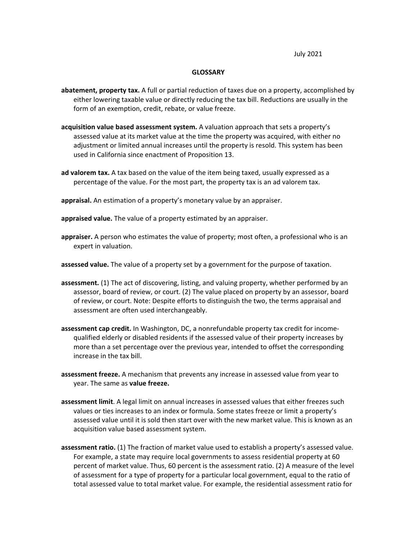July 2021

## **GLOSSARY**

- **abatement, property tax.** A full or partial reduction of taxes due on a property, accomplished by either lowering taxable value or directly reducing the tax bill. Reductions are usually in the form of an exemption, credit, rebate, or value freeze.
- **acquisition value based assessment system.** A valuation approach that sets a property's assessed value at its market value at the time the property was acquired, with either no adjustment or limited annual increases until the property is resold. This system has been used in California since enactment of Proposition 13.
- **ad valorem tax.** A tax based on the value of the item being taxed, usually expressed as a percentage of the value. For the most part, the property tax is an ad valorem tax.
- **appraisal.** An estimation of a property's monetary value by an appraiser.
- **appraised value.** The value of a property estimated by an appraiser.
- **appraiser.** A person who estimates the value of property; most often, a professional who is an expert in valuation.
- **assessed value.** The value of a property set by a government for the purpose of taxation.
- **assessment.** (1) The act of discovering, listing, and valuing property, whether performed by an assessor, board of review, or court. (2) The value placed on property by an assessor, board of review, or court. Note: Despite efforts to distinguish the two, the terms appraisal and assessment are often used interchangeably.
- **assessment cap credit.** In Washington, DC, a nonrefundable property tax credit for incomequalified elderly or disabled residents if the assessed value of their property increases by more than a set percentage over the previous year, intended to offset the corresponding increase in the tax bill.
- **assessment freeze.** A mechanism that prevents any increase in assessed value from year to year. The same as **value freeze.**
- **assessment limit**. A legal limit on annual increases in assessed values that either freezes such values or ties increases to an index or formula. Some states freeze or limit a property's assessed value until it is sold then start over with the new market value. This is known as an acquisition value based assessment system.
- **assessment ratio.** (1) The fraction of market value used to establish a property's assessed value. For example, a state may require local governments to assess residential property at 60 percent of market value. Thus, 60 percent is the assessment ratio. (2) A measure of the level of assessment for a type of property for a particular local government, equal to the ratio of total assessed value to total market value. For example, the residential assessment ratio for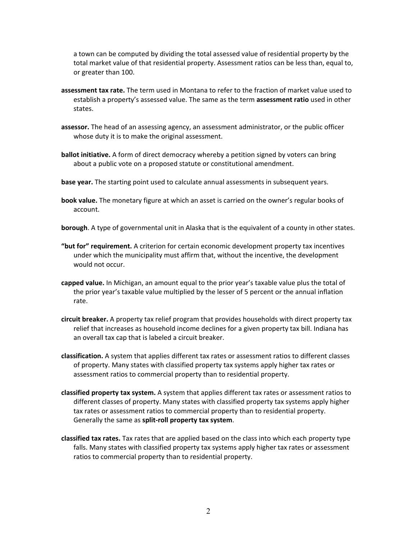a town can be computed by dividing the total assessed value of residential property by the total market value of that residential property. Assessment ratios can be less than, equal to, or greater than 100.

- **assessment tax rate.** The term used in Montana to refer to the fraction of market value used to establish a property's assessed value. The same as the term **assessment ratio** used in other states.
- **assessor.** The head of an assessing agency, an assessment administrator, or the public officer whose duty it is to make the original assessment.
- **ballot initiative.** A form of direct democracy whereby a petition signed by voters can bring about a public vote on a proposed statute or constitutional amendment.
- **base year.** The starting point used to calculate annual assessments in subsequent years.
- **book value.** The monetary figure at which an asset is carried on the owner's regular books of account.
- **borough**. A type of governmental unit in Alaska that is the equivalent of a county in other states.
- **"but for" requirement.** A criterion for certain economic development property tax incentives under which the municipality must affirm that, without the incentive, the development would not occur.
- **capped value.** In Michigan, an amount equal to the prior year's taxable value plus the total of the prior year's taxable value multiplied by the lesser of 5 percent or the annual inflation rate.
- **circuit breaker.** A property tax relief program that provides households with direct property tax relief that increases as household income declines for a given property tax bill. Indiana has an overall tax cap that is labeled a circuit breaker.
- **classification.** A system that applies different tax rates or assessment ratios to different classes of property. Many states with classified property tax systems apply higher tax rates or assessment ratios to commercial property than to residential property.
- **classified property tax system.** A system that applies different tax rates or assessment ratios to different classes of property. Many states with classified property tax systems apply higher tax rates or assessment ratios to commercial property than to residential property. Generally the same as **split-roll property tax system**.
- **classified tax rates.** Tax rates that are applied based on the class into which each property type falls. Many states with classified property tax systems apply higher tax rates or assessment ratios to commercial property than to residential property.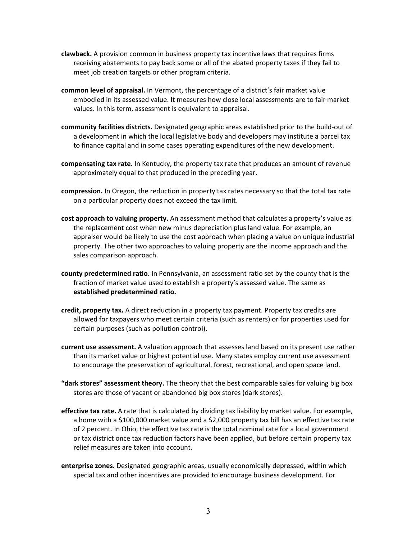- **clawback.** A provision common in business property tax incentive laws that requires firms receiving abatements to pay back some or all of the abated property taxes if they fail to meet job creation targets or other program criteria.
- **common level of appraisal.** In Vermont, the percentage of a district's fair market value embodied in its assessed value. It measures how close local assessments are to fair market values. In this term, assessment is equivalent to appraisal.
- **community facilities districts.** Designated geographic areas established prior to the build-out of a development in which the local legislative body and developers may institute a parcel tax to finance capital and in some cases operating expenditures of the new development.
- **compensating tax rate.** In Kentucky, the property tax rate that produces an amount of revenue approximately equal to that produced in the preceding year.
- **compression.** In Oregon, the reduction in property tax rates necessary so that the total tax rate on a particular property does not exceed the tax limit.
- **cost approach to valuing property.** An assessment method that calculates a property's value as the replacement cost when new minus depreciation plus land value. For example, an appraiser would be likely to use the cost approach when placing a value on unique industrial property. The other two approaches to valuing property are the income approach and the sales comparison approach.
- **county predetermined ratio.** In Pennsylvania, an assessment ratio set by the county that is the fraction of market value used to establish a property's assessed value. The same as **established predetermined ratio.**
- **credit, property tax.** A direct reduction in a property tax payment. Property tax credits are allowed for taxpayers who meet certain criteria (such as renters) or for properties used for certain purposes (such as pollution control).
- **current use assessment.** A valuation approach that assesses land based on its present use rather than its market value or highest potential use. Many states employ current use assessment to encourage the preservation of agricultural, forest, recreational, and open space land.
- **"dark stores" assessment theory.** The theory that the best comparable sales for valuing big box stores are those of vacant or abandoned big box stores (dark stores).
- **effective tax rate.** A rate that is calculated by dividing tax liability by market value. For example, a home with a \$100,000 market value and a \$2,000 property tax bill has an effective tax rate of 2 percent. In Ohio, the effective tax rate is the total nominal rate for a local government or tax district once tax reduction factors have been applied, but before certain property tax relief measures are taken into account.
- **enterprise zones.** Designated geographic areas, usually economically depressed, within which special tax and other incentives are provided to encourage business development. For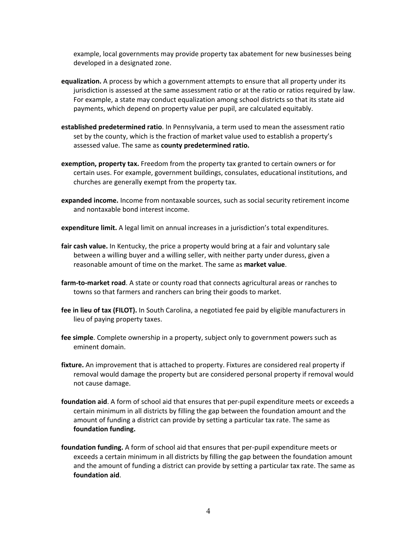example, local governments may provide property tax abatement for new businesses being developed in a designated zone.

- **equalization.** A process by which a government attempts to ensure that all property under its jurisdiction is assessed at the same assessment ratio or at the ratio or ratios required by law. For example, a state may conduct equalization among school districts so that its state aid payments, which depend on property value per pupil, are calculated equitably.
- **established predetermined ratio**. In Pennsylvania, a term used to mean the assessment ratio set by the county, which is the fraction of market value used to establish a property's assessed value. The same as **county predetermined ratio.**
- **exemption, property tax.** Freedom from the property tax granted to certain owners or for certain uses. For example, government buildings, consulates, educational institutions, and churches are generally exempt from the property tax.
- **expanded income.** Income from nontaxable sources, such as social security retirement income and nontaxable bond interest income.
- **expenditure limit.** A legal limit on annual increases in a jurisdiction's total expenditures.
- **fair cash value.** In Kentucky, the price a property would bring at a fair and voluntary sale between a willing buyer and a willing seller, with neither party under duress, given a reasonable amount of time on the market. The same as **market value**.
- **farm-to-market road**. A state or county road that connects agricultural areas or ranches to towns so that farmers and ranchers can bring their goods to market.
- **fee in lieu of tax (FILOT).** In South Carolina, a negotiated fee paid by eligible manufacturers in lieu of paying property taxes.
- **fee simple**. Complete ownership in a property, subject only to government powers such as eminent domain.
- **fixture.** An improvement that is attached to property. Fixtures are considered real property if removal would damage the property but are considered personal property if removal would not cause damage.
- **foundation aid**. A form of school aid that ensures that per-pupil expenditure meets or exceeds a certain minimum in all districts by filling the gap between the foundation amount and the amount of funding a district can provide by setting a particular tax rate. The same as **foundation funding.**
- **foundation funding.** A form of school aid that ensures that per-pupil expenditure meets or exceeds a certain minimum in all districts by filling the gap between the foundation amount and the amount of funding a district can provide by setting a particular tax rate. The same as **foundation aid**.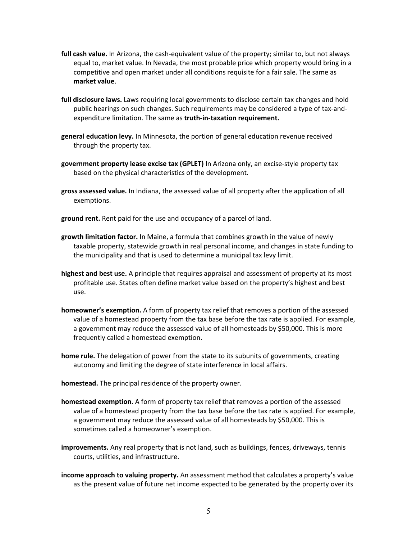- **full cash value.** In Arizona, the cash-equivalent value of the property; similar to, but not always equal to, market value. In Nevada, the most probable price which property would bring in a competitive and open market under all conditions requisite for a fair sale. The same as **market value**.
- **full disclosure laws.** Laws requiring local governments to disclose certain tax changes and hold public hearings on such changes. Such requirements may be considered a type of tax-andexpenditure limitation. The same as **truth-in-taxation requirement.**
- **general education levy.** In Minnesota, the portion of general education revenue received through the property tax.
- **government property lease excise tax (GPLET)** In Arizona only, an excise-style property tax based on the physical characteristics of the development.
- **gross assessed value.** In Indiana, the assessed value of all property after the application of all exemptions.
- **ground rent.** Rent paid for the use and occupancy of a parcel of land.
- **growth limitation factor.** In Maine, a formula that combines growth in the value of newly taxable property, statewide growth in real personal income, and changes in state funding to the municipality and that is used to determine a municipal tax levy limit.
- **highest and best use.** A principle that requires appraisal and assessment of property at its most profitable use. States often define market value based on the property's highest and best use.
- **homeowner's exemption.** A form of property tax relief that removes a portion of the assessed value of a homestead property from the tax base before the tax rate is applied. For example, a government may reduce the assessed value of all homesteads by \$50,000. This is more frequently called a homestead exemption.
- **home rule.** The delegation of power from the state to its subunits of governments, creating autonomy and limiting the degree of state interference in local affairs.
- **homestead.** The principal residence of the property owner.
- **homestead exemption.** A form of property tax relief that removes a portion of the assessed value of a homestead property from the tax base before the tax rate is applied. For example, a government may reduce the assessed value of all homesteads by \$50,000. This is sometimes called a homeowner's exemption.
- **improvements.** Any real property that is not land, such as buildings, fences, driveways, tennis courts, utilities, and infrastructure.
- **income approach to valuing property.** An assessment method that calculates a property's value as the present value of future net income expected to be generated by the property over its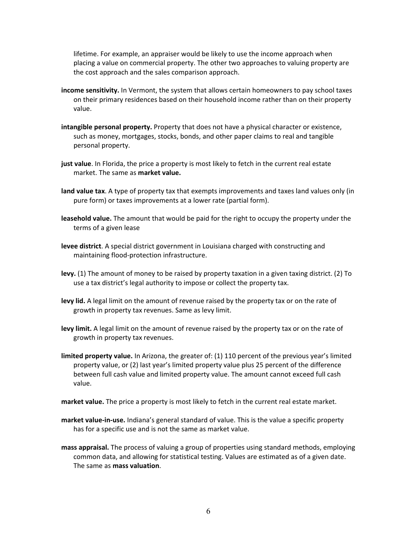lifetime. For example, an appraiser would be likely to use the income approach when placing a value on commercial property. The other two approaches to valuing property are the cost approach and the sales comparison approach.

- **income sensitivity.** In Vermont, the system that allows certain homeowners to pay school taxes on their primary residences based on their household income rather than on their property value.
- **intangible personal property.** Property that does not have a physical character or existence, such as money, mortgages, stocks, bonds, and other paper claims to real and tangible personal property.
- **just value**. In Florida, the price a property is most likely to fetch in the current real estate market. The same as **market value.**
- **land value tax**. A type of property tax that exempts improvements and taxes land values only (in pure form) or taxes improvements at a lower rate (partial form).
- **leasehold value.** The amount that would be paid for the right to occupy the property under the terms of a given lease
- **levee district**. A special district government in Louisiana charged with constructing and maintaining flood-protection infrastructure.
- **levy.** (1) The amount of money to be raised by property taxation in a given taxing district. (2) To use a tax district's legal authority to impose or collect the property tax.
- **levy lid.** A legal limit on the amount of revenue raised by the property tax or on the rate of growth in property tax revenues. Same as levy limit.
- **levy limit.** A legal limit on the amount of revenue raised by the property tax or on the rate of growth in property tax revenues.
- **limited property value.** In Arizona, the greater of: (1) 110 percent of the previous year's limited property value, or (2) last year's limited property value plus 25 percent of the difference between full cash value and limited property value. The amount cannot exceed full cash value.
- **market value.** The price a property is most likely to fetch in the current real estate market.
- **market value-in-use.** Indiana's general standard of value. This is the value a specific property has for a specific use and is not the same as market value.
- **mass appraisal.** The process of valuing a group of properties using standard methods, employing common data, and allowing for statistical testing. Values are estimated as of a given date. The same as **mass valuation**.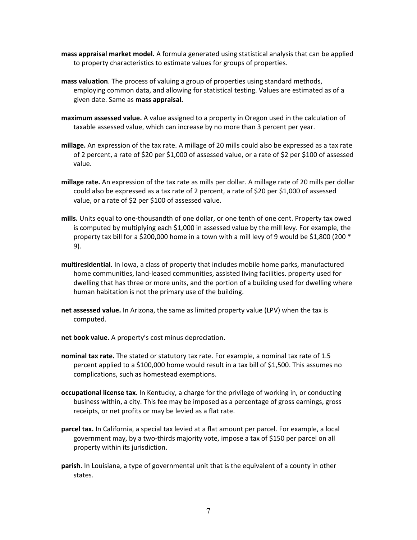- **mass appraisal market model.** A formula generated using statistical analysis that can be applied to property characteristics to estimate values for groups of properties.
- **mass valuation**. The process of valuing a group of properties using standard methods, employing common data, and allowing for statistical testing. Values are estimated as of a given date. Same as **mass appraisal.**
- **maximum assessed value.** A value assigned to a property in Oregon used in the calculation of taxable assessed value, which can increase by no more than 3 percent per year.
- **millage.** An expression of the tax rate. A millage of 20 mills could also be expressed as a tax rate of 2 percent, a rate of \$20 per \$1,000 of assessed value, or a rate of \$2 per \$100 of assessed value.
- **millage rate.** An expression of the tax rate as mills per dollar. A millage rate of 20 mills per dollar could also be expressed as a tax rate of 2 percent, a rate of \$20 per \$1,000 of assessed value, or a rate of \$2 per \$100 of assessed value.
- **mills.** Units equal to one-thousandth of one dollar, or one tenth of one cent. Property tax owed is computed by multiplying each \$1,000 in assessed value by the mill levy. For example, the property tax bill for a \$200,000 home in a town with a mill levy of 9 would be \$1,800 (200 \* 9).
- **multiresidential.** In Iowa, a class of property that includes mobile home parks, manufactured home communities, land-leased communities, assisted living facilities. property used for dwelling that has three or more units, and the portion of a building used for dwelling where human habitation is not the primary use of the building.
- **net assessed value.** In Arizona, the same as limited property value (LPV) when the tax is computed.
- **net book value.** A property's cost minus depreciation.
- **nominal tax rate.** The stated or statutory tax rate. For example, a nominal tax rate of 1.5 percent applied to a \$100,000 home would result in a tax bill of \$1,500. This assumes no complications, such as homestead exemptions.
- **occupational license tax.** In Kentucky, a charge for the privilege of working in, or conducting business within, a city. This fee may be imposed as a percentage of gross earnings, gross receipts, or net profits or may be levied as a flat rate.
- **parcel tax.** In California, a special tax levied at a flat amount per parcel. For example, a local government may, by a two-thirds majority vote, impose a tax of \$150 per parcel on all property within its jurisdiction.
- **parish**. In Louisiana, a type of governmental unit that is the equivalent of a county in other states.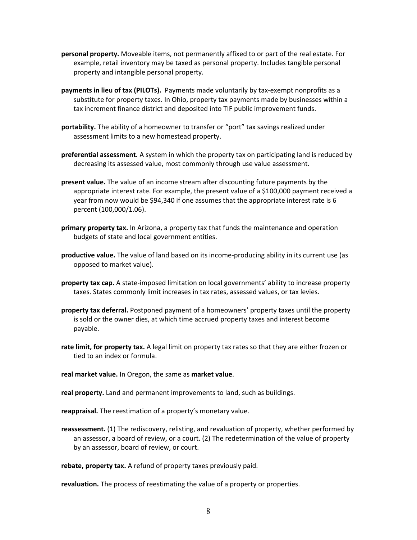- **personal property.** Moveable items, not permanently affixed to or part of the real estate. For example, retail inventory may be taxed as personal property. Includes tangible personal property and intangible personal property.
- **payments in lieu of tax (PILOTs).** Payments made voluntarily by tax-exempt nonprofits as a substitute for property taxes. In Ohio, property tax payments made by businesses within a tax increment finance district and deposited into TIF public improvement funds.
- **portability.** The ability of a homeowner to transfer or "port" tax savings realized under assessment limits to a new homestead property.
- **preferential assessment.** A system in which the property tax on participating land is reduced by decreasing its assessed value, most commonly through use value assessment.
- **present value.** The value of an income stream after discounting future payments by the appropriate interest rate. For example, the present value of a \$100,000 payment received a year from now would be \$94,340 if one assumes that the appropriate interest rate is 6 percent (100,000/1.06).
- **primary property tax.** In Arizona, a property tax that funds the maintenance and operation budgets of state and local government entities.
- **productive value.** The value of land based on its income-producing ability in its current use (as opposed to market value).
- **property tax cap.** A state-imposed limitation on local governments' ability to increase property taxes. States commonly limit increases in tax rates, assessed values, or tax levies.
- **property tax deferral.** Postponed payment of a homeowners' property taxes until the property is sold or the owner dies, at which time accrued property taxes and interest become payable.
- **rate limit, for property tax.** A legal limit on property tax rates so that they are either frozen or tied to an index or formula.
- **real market value.** In Oregon, the same as **market value**.

**real property.** Land and permanent improvements to land, such as buildings.

**reappraisal.** The reestimation of a property's monetary value.

**reassessment.** (1) The rediscovery, relisting, and revaluation of property, whether performed by an assessor, a board of review, or a court. (2) The redetermination of the value of property by an assessor, board of review, or court.

**rebate, property tax.** A refund of property taxes previously paid.

**revaluation.** The process of reestimating the value of a property or properties.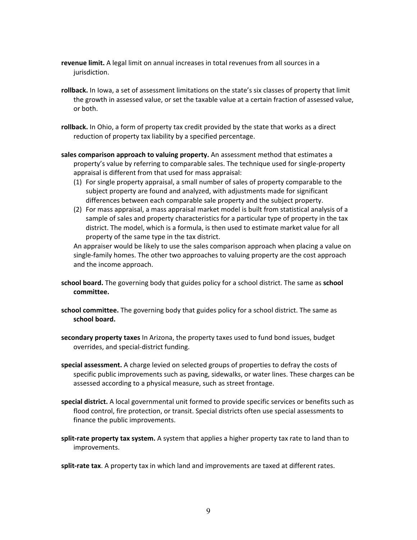- **revenue limit.** A legal limit on annual increases in total revenues from all sources in a jurisdiction.
- **rollback.** In Iowa, a set of assessment limitations on the state's six classes of property that limit the growth in assessed value, or set the taxable value at a certain fraction of assessed value, or both.
- **rollback.** In Ohio, a form of property tax credit provided by the state that works as a direct reduction of property tax liability by a specified percentage.
- **sales comparison approach to valuing property.** An assessment method that estimates a property's value by referring to comparable sales. The technique used for single-property appraisal is different from that used for mass appraisal:
	- (1) For single property appraisal, a small number of sales of property comparable to the subject property are found and analyzed, with adjustments made for significant differences between each comparable sale property and the subject property.
	- (2) For mass appraisal, a mass appraisal market model is built from statistical analysis of a sample of sales and property characteristics for a particular type of property in the tax district. The model, which is a formula, is then used to estimate market value for all property of the same type in the tax district.

An appraiser would be likely to use the sales comparison approach when placing a value on single-family homes. The other two approaches to valuing property are the cost approach and the income approach.

- **school board.** The governing body that guides policy for a school district. The same as **school committee.**
- **school committee.** The governing body that guides policy for a school district. The same as **school board.**
- **secondary property taxes** In Arizona, the property taxes used to fund bond issues, budget overrides, and special-district funding.
- **special assessment.** A charge levied on selected groups of properties to defray the costs of specific public improvements such as paving, sidewalks, or water lines. These charges can be assessed according to a physical measure, such as street frontage.
- **special district.** A local governmental unit formed to provide specific services or benefits such as flood control, fire protection, or transit. Special districts often use special assessments to finance the public improvements.
- **split-rate property tax system.** A system that applies a higher property tax rate to land than to improvements.

**split-rate tax**. A property tax in which land and improvements are taxed at different rates.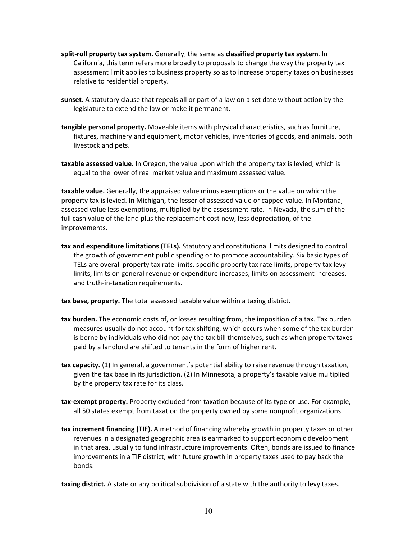- **split-roll property tax system.** Generally, the same as **classified property tax system**. In California, this term refers more broadly to proposals to change the way the property tax assessment limit applies to business property so as to increase property taxes on businesses relative to residential property.
- **sunset.** A statutory clause that repeals all or part of a law on a set date without action by the legislature to extend the law or make it permanent.
- **tangible personal property.** Moveable items with physical characteristics, such as furniture, fixtures, machinery and equipment, motor vehicles, inventories of goods, and animals, both livestock and pets.
- **taxable assessed value.** In Oregon, the value upon which the property tax is levied, which is equal to the lower of real market value and maximum assessed value.

**taxable value.** Generally, the appraised value minus exemptions or the value on which the property tax is levied. In Michigan, the lesser of assessed value or capped value. In Montana, assessed value less exemptions, multiplied by the assessment rate. In Nevada, the sum of the full cash value of the land plus the replacement cost new, less depreciation, of the improvements.

**tax and expenditure limitations (TELs).** Statutory and constitutional limits designed to control the growth of government public spending or to promote accountability. Six basic types of TELs are overall property tax rate limits, specific property tax rate limits, property tax levy limits, limits on general revenue or expenditure increases, limits on assessment increases, and truth-in-taxation requirements.

**tax base, property.** The total assessed taxable value within a taxing district.

- **tax burden.** The economic costs of, or losses resulting from, the imposition of a tax. Tax burden measures usually do not account for tax shifting, which occurs when some of the tax burden is borne by individuals who did not pay the tax bill themselves, such as when property taxes paid by a landlord are shifted to tenants in the form of higher rent.
- **tax capacity.** (1) In general, a government's potential ability to raise revenue through taxation, given the tax base in its jurisdiction. (2) In Minnesota, a property's taxable value multiplied by the property tax rate for its class.
- **tax-exempt property.** Property excluded from taxation because of its type or use. For example, all 50 states exempt from taxation the property owned by some nonprofit organizations.
- **tax increment financing (TIF).** A method of financing whereby growth in property taxes or other revenues in a designated geographic area is earmarked to support economic development in that area, usually to fund infrastructure improvements. Often, bonds are issued to finance improvements in a TIF district, with future growth in property taxes used to pay back the bonds.

**taxing district.** A state or any political subdivision of a state with the authority to levy taxes.